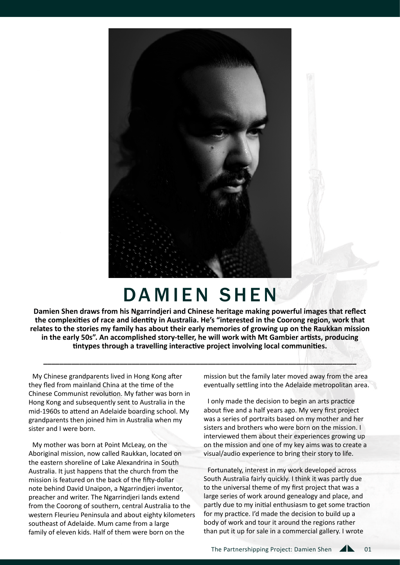

# DAMIEN SHEN

**Damien Shen draws from his Ngarrindjeri and Chinese heritage making powerful images that reflect the complexities of race and identity in Australia. He's "interested in the Coorong region, work that relates to the stories my family has about their early memories of growing up on the Raukkan mission in the early 50s". An accomplished story-teller, he will work with Mt Gambier artists, producing tintypes through a travelling interactive project involving local communities.**

**\_\_\_\_\_\_\_\_\_\_\_\_\_\_\_\_\_\_\_\_\_\_\_\_\_\_\_\_\_\_\_\_\_\_\_\_\_\_\_\_\_\_\_\_\_\_\_\_\_\_\_\_\_\_\_\_\_\_\_\_\_\_\_\_\_\_\_\_\_\_\_\_\_\_\_\_\_\_**

My Chinese grandparents lived in Hong Kong after they fled from mainland China at the time of the Chinese Communist revolution. My father was born in Hong Kong and subsequently sent to Australia in the mid-1960s to attend an Adelaide boarding school. My grandparents then joined him in Australia when my sister and I were born.

My mother was born at Point McLeay, on the Aboriginal mission, now called Raukkan, located on the eastern shoreline of Lake Alexandrina in South Australia. It just happens that the church from the mission is featured on the back of the fifty-dollar note behind David Unaipon, a Ngarrindjeri inventor, preacher and writer. The Ngarrindjeri lands extend from the Coorong of southern, central Australia to the western Fleurieu Peninsula and about eighty kilometers southeast of Adelaide. Mum came from a large family of eleven kids. Half of them were born on the

mission but the family later moved away from the area eventually settling into the Adelaide metropolitan area.

I only made the decision to begin an arts practice about five and a half years ago. My very first project was a series of portraits based on my mother and her sisters and brothers who were born on the mission. I interviewed them about their experiences growing up on the mission and one of my key aims was to create a visual/audio experience to bring their story to life.

Fortunately, interest in my work developed across South Australia fairly quickly. I think it was partly due to the universal theme of my first project that was a large series of work around genealogy and place, and partly due to my initial enthusiasm to get some traction for my practice. I'd made the decision to build up a body of work and tour it around the regions rather than put it up for sale in a commercial gallery. I wrote

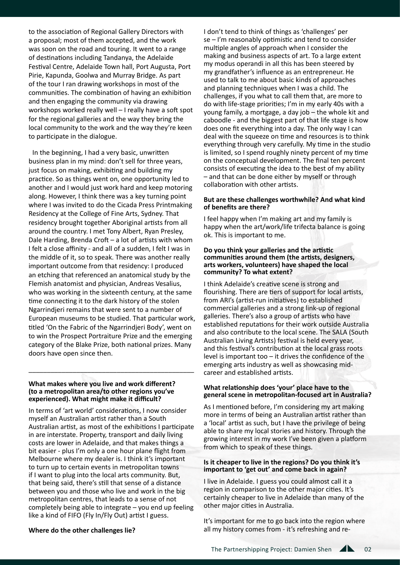to the association of Regional Gallery Directors with a proposal; most of them accepted, and the work was soon on the road and touring. It went to a range of destinations including Tandanya, the Adelaide Festival Centre, Adelaide Town hall, Port Augusta, Port Pirie, Kapunda, Goolwa and Murray Bridge. As part of the tour I ran drawing workshops in most of the communities. The combination of having an exhibition and then engaging the community via drawing workshops worked really well – I really have a soft spot for the regional galleries and the way they bring the local community to the work and the way they're keen to participate in the dialogue.

In the beginning, I had a very basic, unwritten business plan in my mind: don't sell for three years, just focus on making, exhibiting and building my practice. So as things went on, one opportunity led to another and I would just work hard and keep motoring along. However, I think there was a key turning point where I was invited to do the Cicada Press Printmaking Residency at the College of Fine Arts, Sydney. That residency brought together Aboriginal artists from all around the country. I met Tony Albert, Ryan Presley, Dale Harding, Brenda Croft – a lot of artists with whom I felt a close affinity - and all of a sudden, I felt I was in the middle of it, so to speak. There was another really important outcome from that residency: I produced an etching that referenced an anatomical study by the Flemish anatomist and physician, Andreas Vesalius, who was working in the sixteenth century, at the same time connecting it to the dark history of the stolen Ngarrindjeri remains that were sent to a number of European museums to be studied. That particular work, titled 'On the Fabric of the Ngarrindjeri Body', went on to win the Prospect Portraiture Prize and the emerging category of the Blake Prize, both national prizes. Many doors have open since then.

#### **What makes where you live and work different? (to a metropolitan area/to other regions you've experienced). What might make it difficult?**

\_\_\_\_\_\_\_\_\_\_\_\_\_\_\_\_\_\_\_\_\_\_\_\_\_\_\_\_\_\_\_\_\_\_\_\_\_\_\_\_\_\_\_\_\_

In terms of 'art world' considerations, I now consider myself an Australian artist rather than a South Australian artist, as most of the exhibitions I participate in are interstate. Property, transport and daily living costs are lower in Adelaide, and that makes things a bit easier - plus I'm only a one hour plane flight from Melbourne where my dealer is. I think it's important to turn up to certain events in metropolitan towns if I want to plug into the local arts community. But, that being said, there's still that sense of a distance between you and those who live and work in the big metropolitan centres, that leads to a sense of not completely being able to integrate – you end up feeling like a kind of FIFO (Fly In/Fly Out) artist I guess.

I don't tend to think of things as 'challenges' per se – I'm reasonably optimistic and tend to consider multiple angles of approach when I consider the making and business aspects of art. To a large extent my modus operandi in all this has been steered by my grandfather's influence as an entrepreneur. He used to talk to me about basic kinds of approaches and planning techniques when I was a child. The challenges, if you what to call them that, are more to do with life-stage priorities; I'm in my early 40s with a young family, a mortgage, a day job – the whole kit and caboodle - and the biggest part of that life stage is how does one fit everything into a day. The only way I can deal with the squeeze on time and resources is to think everything through very carefully. My time in the studio is limited, so I spend roughly ninety percent of my time on the conceptual development. The final ten percent consists of executing the idea to the best of my ability – and that can be done either by myself or through collaboration with other artists.

## **But are these challenges worthwhile? And what kind of benefits are there?**

I feel happy when I'm making art and my family is happy when the art/work/life trifecta balance is going ok. This is important to me.

### **Do you think your galleries and the artistic communities around them (the artists, designers, arts workers, volunteers) have shaped the local community? To what extent?**

I think Adelaide's creative scene is strong and flourishing. There are tiers of support for local artists, from ARI's (artist-run initiatives) to established commercial galleries and a strong link-up of regional galleries. There's also a group of artists who have established reputations for their work outside Australia and also contribute to the local scene. The SALA (South Australian Living Artists) festival is held every year, and this festival's contribution at the local grass roots level is important too – it drives the confidence of the emerging arts industry as well as showcasing midcareer and established artists.

## **What relationship does 'your' place have to the general scene in metropolitan-focused art in Australia?**

As I mentioned before, I'm considering my art making more in terms of being an Australian artist rather than a 'local' artist as such, but I have the privilege of being able to share my local stories and history. Through the growing interest in my work I've been given a platform from which to speak of these things.

## **Is it cheaper to live in the regions? Do you think it's important to 'get out' and come back in again?**

I live in Adelaide. I guess you could almost call it a region in comparison to the other major cities. It's certainly cheaper to live in Adelaide than many of the other major cities in Australia.

It's important for me to go back into the region where all my history comes from - it's refreshing and re-

## **Where do the other challenges lie?**

The Partnershipping Project: Damien Shen